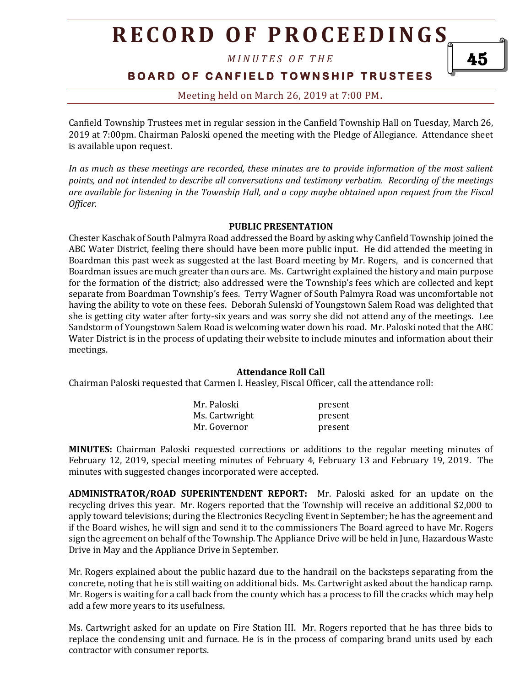*M I N U T E S O F T H E* 

## **B O A R D O F C A N F I E L D T O W N S H I P T R U S T E E S**

## Meeting held on March 26, 2019 at 7:00 PM**.**

Canfield Township Trustees met in regular session in the Canfield Township Hall on Tuesday, March 26, 2019 at 7:00pm. Chairman Paloski opened the meeting with the Pledge of Allegiance. Attendance sheet is available upon request.

*In as much as these meetings are recorded, these minutes are to provide information of the most salient points, and not intended to describe all conversations and testimony verbatim. Recording of the meetings are available for listening in the Township Hall, and a copy maybe obtained upon request from the Fiscal Officer.* 

#### **PUBLIC PRESENTATION**

Chester Kaschak of South Palmyra Road addressed the Board by asking why Canfield Township joined the ABC Water District, feeling there should have been more public input. He did attended the meeting in Boardman this past week as suggested at the last Board meeting by Mr. Rogers, and is concerned that Boardman issues are much greater than ours are. Ms. Cartwright explained the history and main purpose for the formation of the district; also addressed were the Township's fees which are collected and kept separate from Boardman Township's fees. Terry Wagner of South Palmyra Road was uncomfortable not having the ability to vote on these fees. Deborah Sulenski of Youngstown Salem Road was delighted that she is getting city water after forty-six years and was sorry she did not attend any of the meetings. Lee Sandstorm of Youngstown Salem Road is welcoming water down his road. Mr. Paloski noted that the ABC Water District is in the process of updating their website to include minutes and information about their meetings.

#### **Attendance Roll Call**

Chairman Paloski requested that Carmen I. Heasley, Fiscal Officer, call the attendance roll:

| Mr. Paloski    | present |
|----------------|---------|
| Ms. Cartwright | present |
| Mr. Governor   | present |

**MINUTES:** Chairman Paloski requested corrections or additions to the regular meeting minutes of February 12, 2019, special meeting minutes of February 4, February 13 and February 19, 2019. The minutes with suggested changes incorporated were accepted.

**ADMINISTRATOR/ROAD SUPERINTENDENT REPORT:** Mr. Paloski asked for an update on the recycling drives this year. Mr. Rogers reported that the Township will receive an additional \$2,000 to apply toward televisions; during the Electronics Recycling Event in September; he has the agreement and if the Board wishes, he will sign and send it to the commissioners The Board agreed to have Mr. Rogers sign the agreement on behalf of the Township. The Appliance Drive will be held in June, Hazardous Waste Drive in May and the Appliance Drive in September.

Mr. Rogers explained about the public hazard due to the handrail on the backsteps separating from the concrete, noting that he is still waiting on additional bids. Ms. Cartwright asked about the handicap ramp. Mr. Rogers is waiting for a call back from the county which has a process to fill the cracks which may help add a few more years to its usefulness.

Ms. Cartwright asked for an update on Fire Station III. Mr. Rogers reported that he has three bids to replace the condensing unit and furnace. He is in the process of comparing brand units used by each contractor with consumer reports.

45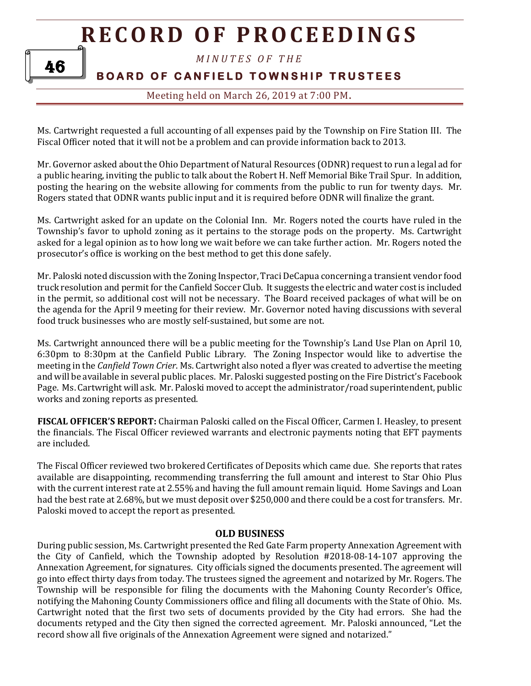

46

**BOARD OF CANFIELD TOWNSHIP TRUSTEES** 

Meeting held on March 26, 2019 at 7:00 PM**.**

Ms. Cartwright requested a full accounting of all expenses paid by the Township on Fire Station III. The Fiscal Officer noted that it will not be a problem and can provide information back to 2013.

Mr. Governor asked about the Ohio Department of Natural Resources (ODNR) request to run a legal ad for a public hearing, inviting the public to talk about the Robert H. Neff Memorial Bike Trail Spur. In addition, posting the hearing on the website allowing for comments from the public to run for twenty days. Mr. Rogers stated that ODNR wants public input and it is required before ODNR will finalize the grant.

Ms. Cartwright asked for an update on the Colonial Inn. Mr. Rogers noted the courts have ruled in the Township's favor to uphold zoning as it pertains to the storage pods on the property. Ms. Cartwright asked for a legal opinion as to how long we wait before we can take further action. Mr. Rogers noted the prosecutor's office is working on the best method to get this done safely.

Mr. Paloski noted discussion with the Zoning Inspector, Traci DeCapua concerning a transient vendor food truck resolution and permit for the Canfield Soccer Club. It suggests the electric and water cost is included in the permit, so additional cost will not be necessary. The Board received packages of what will be on the agenda for the April 9 meeting for their review. Mr. Governor noted having discussions with several food truck businesses who are mostly self-sustained, but some are not.

Ms. Cartwright announced there will be a public meeting for the Township's Land Use Plan on April 10, 6:30pm to 8:30pm at the Canfield Public Library. The Zoning Inspector would like to advertise the meeting in the *Canfield Town Crier*. Ms. Cartwright also noted a flyer was created to advertise the meeting and will be available in several public places. Mr. Paloski suggested posting on the Fire District's Facebook Page. Ms. Cartwright will ask. Mr. Paloski moved to accept the administrator/road superintendent, public works and zoning reports as presented.

**FISCAL OFFICER'S REPORT:** Chairman Paloski called on the Fiscal Officer, Carmen I. Heasley, to present the financials. The Fiscal Officer reviewed warrants and electronic payments noting that EFT payments are included.

The Fiscal Officer reviewed two brokered Certificates of Deposits which came due. She reports that rates available are disappointing, recommending transferring the full amount and interest to Star Ohio Plus with the current interest rate at 2.55% and having the full amount remain liquid. Home Savings and Loan had the best rate at 2.68%, but we must deposit over \$250,000 and there could be a cost for transfers. Mr. Paloski moved to accept the report as presented.

#### **OLD BUSINESS**

During public session, Ms. Cartwright presented the Red Gate Farm property Annexation Agreement with the City of Canfield, which the Township adopted by Resolution #2018-08-14-107 approving the Annexation Agreement, for signatures. City officials signed the documents presented. The agreement will go into effect thirty days from today. The trustees signed the agreement and notarized by Mr. Rogers. The Township will be responsible for filing the documents with the Mahoning County Recorder's Office, notifying the Mahoning County Commissioners office and filing all documents with the State of Ohio. Ms. Cartwright noted that the first two sets of documents provided by the City had errors. She had the documents retyped and the City then signed the corrected agreement. Mr. Paloski announced, "Let the record show all five originals of the Annexation Agreement were signed and notarized."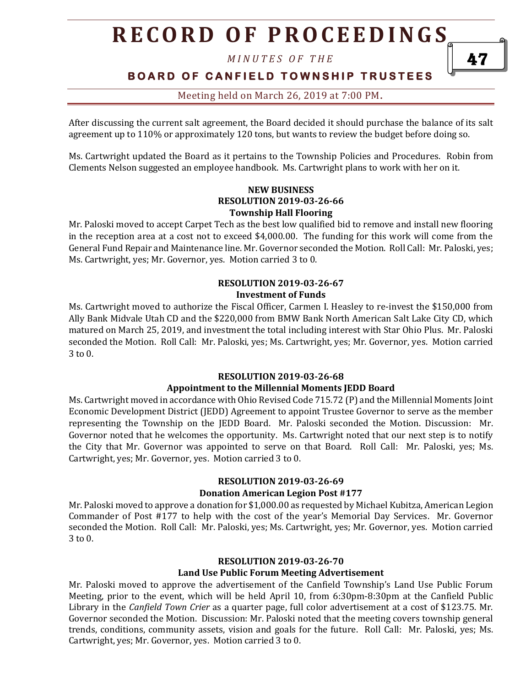*M I N U T E S O F T H E* 

# **BOARD OF CANFIELD TOWNSHIP TRUSTEES**

47

## Meeting held on March 26, 2019 at 7:00 PM**.**

After discussing the current salt agreement, the Board decided it should purchase the balance of its salt agreement up to 110% or approximately 120 tons, but wants to review the budget before doing so.

Ms. Cartwright updated the Board as it pertains to the Township Policies and Procedures. Robin from Clements Nelson suggested an employee handbook. Ms. Cartwright plans to work with her on it.

#### **NEW BUSINESS RESOLUTION 2019-03-26-66 Township Hall Flooring**

Mr. Paloski moved to accept Carpet Tech as the best low qualified bid to remove and install new flooring in the reception area at a cost not to exceed \$4,000.00. The funding for this work will come from the General Fund Repair and Maintenance line. Mr. Governor seconded the Motion. Roll Call: Mr. Paloski, yes; Ms. Cartwright, yes; Mr. Governor, yes. Motion carried 3 to 0.

### **RESOLUTION 2019-03-26-67 Investment of Funds**

Ms. Cartwright moved to authorize the Fiscal Officer, Carmen I. Heasley to re-invest the \$150,000 from Ally Bank Midvale Utah CD and the \$220,000 from BMW Bank North American Salt Lake City CD, which matured on March 25, 2019, and investment the total including interest with Star Ohio Plus. Mr. Paloski seconded the Motion. Roll Call: Mr. Paloski, yes; Ms. Cartwright, yes; Mr. Governor, yes. Motion carried 3 to 0.

#### **RESOLUTION 2019-03-26-68 Appointment to the Millennial Moments JEDD Board**

Ms. Cartwright moved in accordance with Ohio Revised Code 715.72 (P) and the Millennial Moments Joint Economic Development District (JEDD) Agreement to appoint Trustee Governor to serve as the member representing the Township on the JEDD Board. Mr. Paloski seconded the Motion. Discussion: Mr. Governor noted that he welcomes the opportunity. Ms. Cartwright noted that our next step is to notify the City that Mr. Governor was appointed to serve on that Board. Roll Call: Mr. Paloski, yes; Ms. Cartwright, yes; Mr. Governor, yes. Motion carried 3 to 0.

#### **RESOLUTION 2019-03-26-69**

#### **Donation American Legion Post #177**

Mr. Paloski moved to approve a donation for \$1,000.00 as requested by Michael Kubitza, American Legion Commander of Post #177 to help with the cost of the year's Memorial Day Services. Mr. Governor seconded the Motion. Roll Call: Mr. Paloski, yes; Ms. Cartwright, yes; Mr. Governor, yes. Motion carried 3 to 0.

#### **RESOLUTION 2019-03-26-70**

#### **Land Use Public Forum Meeting Advertisement**

Mr. Paloski moved to approve the advertisement of the Canfield Township's Land Use Public Forum Meeting, prior to the event, which will be held April 10, from 6:30pm-8:30pm at the Canfield Public Library in the *Canfield Town Crier* as a quarter page, full color advertisement at a cost of \$123.75. Mr. Governor seconded the Motion. Discussion: Mr. Paloski noted that the meeting covers township general trends, conditions, community assets, vision and goals for the future. Roll Call: Mr. Paloski, yes; Ms. Cartwright, yes; Mr. Governor, yes. Motion carried 3 to 0.